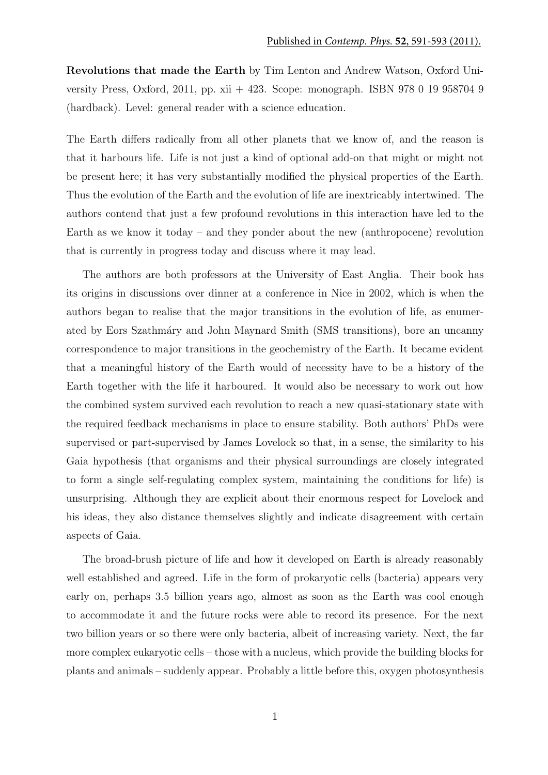**Revolutions that made the Earth** by Tim Lenton and Andrew Watson, Oxford University Press, Oxford, 2011, pp. xii + 423. Scope: monograph. ISBN 978 0 19 958704 9 (hardback). Level: general reader with a science education.

The Earth differs radically from all other planets that we know of, and the reason is that it harbours life. Life is not just a kind of optional add-on that might or might not be present here; it has very substantially modified the physical properties of the Earth. Thus the evolution of the Earth and the evolution of life are inextricably intertwined. The authors contend that just a few profound revolutions in this interaction have led to the Earth as we know it today – and they ponder about the new (anthropocene) revolution that is currently in progress today and discuss where it may lead.

The authors are both professors at the University of East Anglia. Their book has its origins in discussions over dinner at a conference in Nice in 2002, which is when the authors began to realise that the major transitions in the evolution of life, as enumerated by Eors Szathm´ary and John Maynard Smith (SMS transitions), bore an uncanny correspondence to major transitions in the geochemistry of the Earth. It became evident that a meaningful history of the Earth would of necessity have to be a history of the Earth together with the life it harboured. It would also be necessary to work out how the combined system survived each revolution to reach a new quasi-stationary state with the required feedback mechanisms in place to ensure stability. Both authors' PhDs were supervised or part-supervised by James Lovelock so that, in a sense, the similarity to his Gaia hypothesis (that organisms and their physical surroundings are closely integrated to form a single self-regulating complex system, maintaining the conditions for life) is unsurprising. Although they are explicit about their enormous respect for Lovelock and his ideas, they also distance themselves slightly and indicate disagreement with certain aspects of Gaia.

The broad-brush picture of life and how it developed on Earth is already reasonably well established and agreed. Life in the form of prokaryotic cells (bacteria) appears very early on, perhaps 3.5 billion years ago, almost as soon as the Earth was cool enough to accommodate it and the future rocks were able to record its presence. For the next two billion years or so there were only bacteria, albeit of increasing variety. Next, the far more complex eukaryotic cells – those with a nucleus, which provide the building blocks for plants and animals – suddenly appear. Probably a little before this, oxygen photosynthesis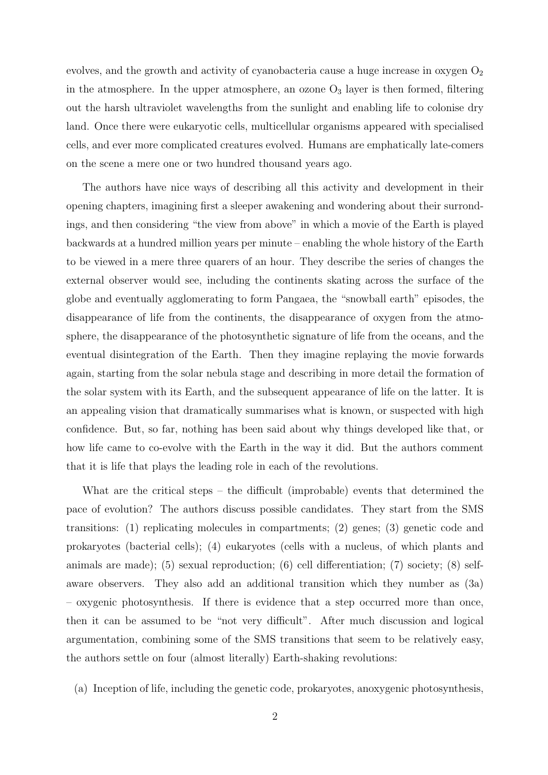evolves, and the growth and activity of cyanobacteria cause a huge increase in oxygen  $O<sub>2</sub>$ in the atmosphere. In the upper atmosphere, an ozone  $O_3$  layer is then formed, filtering out the harsh ultraviolet wavelengths from the sunlight and enabling life to colonise dry land. Once there were eukaryotic cells, multicellular organisms appeared with specialised cells, and ever more complicated creatures evolved. Humans are emphatically late-comers on the scene a mere one or two hundred thousand years ago.

The authors have nice ways of describing all this activity and development in their opening chapters, imagining first a sleeper awakening and wondering about their surrondings, and then considering "the view from above" in which a movie of the Earth is played backwards at a hundred million years per minute – enabling the whole history of the Earth to be viewed in a mere three quarers of an hour. They describe the series of changes the external observer would see, including the continents skating across the surface of the globe and eventually agglomerating to form Pangaea, the "snowball earth" episodes, the disappearance of life from the continents, the disappearance of oxygen from the atmosphere, the disappearance of the photosynthetic signature of life from the oceans, and the eventual disintegration of the Earth. Then they imagine replaying the movie forwards again, starting from the solar nebula stage and describing in more detail the formation of the solar system with its Earth, and the subsequent appearance of life on the latter. It is an appealing vision that dramatically summarises what is known, or suspected with high confidence. But, so far, nothing has been said about why things developed like that, or how life came to co-evolve with the Earth in the way it did. But the authors comment that it is life that plays the leading role in each of the revolutions.

What are the critical steps – the difficult (improbable) events that determined the pace of evolution? The authors discuss possible candidates. They start from the SMS transitions: (1) replicating molecules in compartments; (2) genes; (3) genetic code and prokaryotes (bacterial cells); (4) eukaryotes (cells with a nucleus, of which plants and animals are made); (5) sexual reproduction; (6) cell differentiation; (7) society; (8) selfaware observers. They also add an additional transition which they number as (3a) – oxygenic photosynthesis. If there is evidence that a step occurred more than once, then it can be assumed to be "not very difficult". After much discussion and logical argumentation, combining some of the SMS transitions that seem to be relatively easy, the authors settle on four (almost literally) Earth-shaking revolutions:

(a) Inception of life, including the genetic code, prokaryotes, anoxygenic photosynthesis,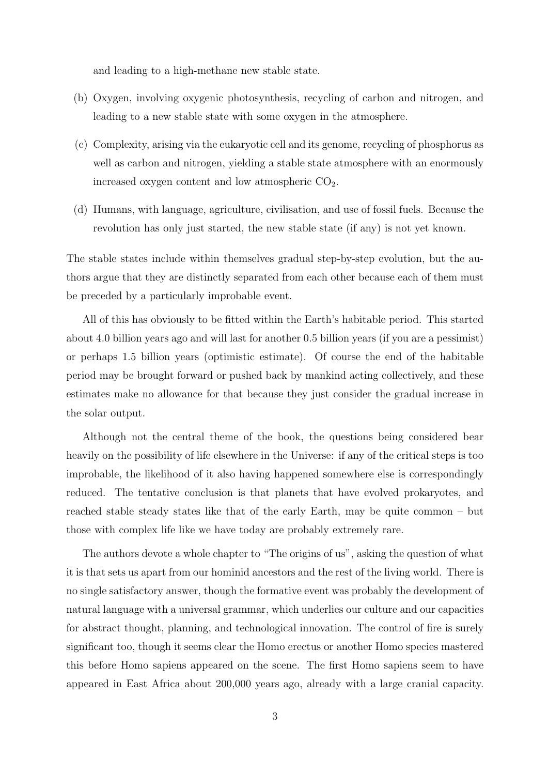and leading to a high-methane new stable state.

- (b) Oxygen, involving oxygenic photosynthesis, recycling of carbon and nitrogen, and leading to a new stable state with some oxygen in the atmosphere.
- (c) Complexity, arising via the eukaryotic cell and its genome, recycling of phosphorus as well as carbon and nitrogen, yielding a stable state atmosphere with an enormously increased oxygen content and low atmospheric  $CO<sub>2</sub>$ .
- (d) Humans, with language, agriculture, civilisation, and use of fossil fuels. Because the revolution has only just started, the new stable state (if any) is not yet known.

The stable states include within themselves gradual step-by-step evolution, but the authors argue that they are distinctly separated from each other because each of them must be preceded by a particularly improbable event.

All of this has obviously to be fitted within the Earth's habitable period. This started about 4.0 billion years ago and will last for another 0.5 billion years (if you are a pessimist) or perhaps 1.5 billion years (optimistic estimate). Of course the end of the habitable period may be brought forward or pushed back by mankind acting collectively, and these estimates make no allowance for that because they just consider the gradual increase in the solar output.

Although not the central theme of the book, the questions being considered bear heavily on the possibility of life elsewhere in the Universe: if any of the critical steps is too improbable, the likelihood of it also having happened somewhere else is correspondingly reduced. The tentative conclusion is that planets that have evolved prokaryotes, and reached stable steady states like that of the early Earth, may be quite common – but those with complex life like we have today are probably extremely rare.

The authors devote a whole chapter to "The origins of us", asking the question of what it is that sets us apart from our hominid ancestors and the rest of the living world. There is no single satisfactory answer, though the formative event was probably the development of natural language with a universal grammar, which underlies our culture and our capacities for abstract thought, planning, and technological innovation. The control of fire is surely significant too, though it seems clear the Homo erectus or another Homo species mastered this before Homo sapiens appeared on the scene. The first Homo sapiens seem to have appeared in East Africa about 200,000 years ago, already with a large cranial capacity.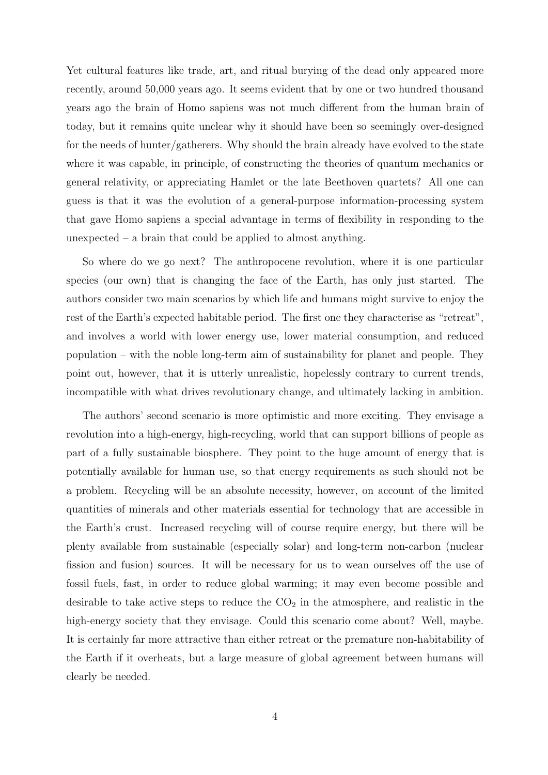Yet cultural features like trade, art, and ritual burying of the dead only appeared more recently, around 50,000 years ago. It seems evident that by one or two hundred thousand years ago the brain of Homo sapiens was not much different from the human brain of today, but it remains quite unclear why it should have been so seemingly over-designed for the needs of hunter/gatherers. Why should the brain already have evolved to the state where it was capable, in principle, of constructing the theories of quantum mechanics or general relativity, or appreciating Hamlet or the late Beethoven quartets? All one can guess is that it was the evolution of a general-purpose information-processing system that gave Homo sapiens a special advantage in terms of flexibility in responding to the unexpected – a brain that could be applied to almost anything.

So where do we go next? The anthropocene revolution, where it is one particular species (our own) that is changing the face of the Earth, has only just started. The authors consider two main scenarios by which life and humans might survive to enjoy the rest of the Earth's expected habitable period. The first one they characterise as "retreat", and involves a world with lower energy use, lower material consumption, and reduced population – with the noble long-term aim of sustainability for planet and people. They point out, however, that it is utterly unrealistic, hopelessly contrary to current trends, incompatible with what drives revolutionary change, and ultimately lacking in ambition.

The authors' second scenario is more optimistic and more exciting. They envisage a revolution into a high-energy, high-recycling, world that can support billions of people as part of a fully sustainable biosphere. They point to the huge amount of energy that is potentially available for human use, so that energy requirements as such should not be a problem. Recycling will be an absolute necessity, however, on account of the limited quantities of minerals and other materials essential for technology that are accessible in the Earth's crust. Increased recycling will of course require energy, but there will be plenty available from sustainable (especially solar) and long-term non-carbon (nuclear fission and fusion) sources. It will be necessary for us to wean ourselves off the use of fossil fuels, fast, in order to reduce global warming; it may even become possible and desirable to take active steps to reduce the  $CO<sub>2</sub>$  in the atmosphere, and realistic in the high-energy society that they envisage. Could this scenario come about? Well, maybe. It is certainly far more attractive than either retreat or the premature non-habitability of the Earth if it overheats, but a large measure of global agreement between humans will clearly be needed.